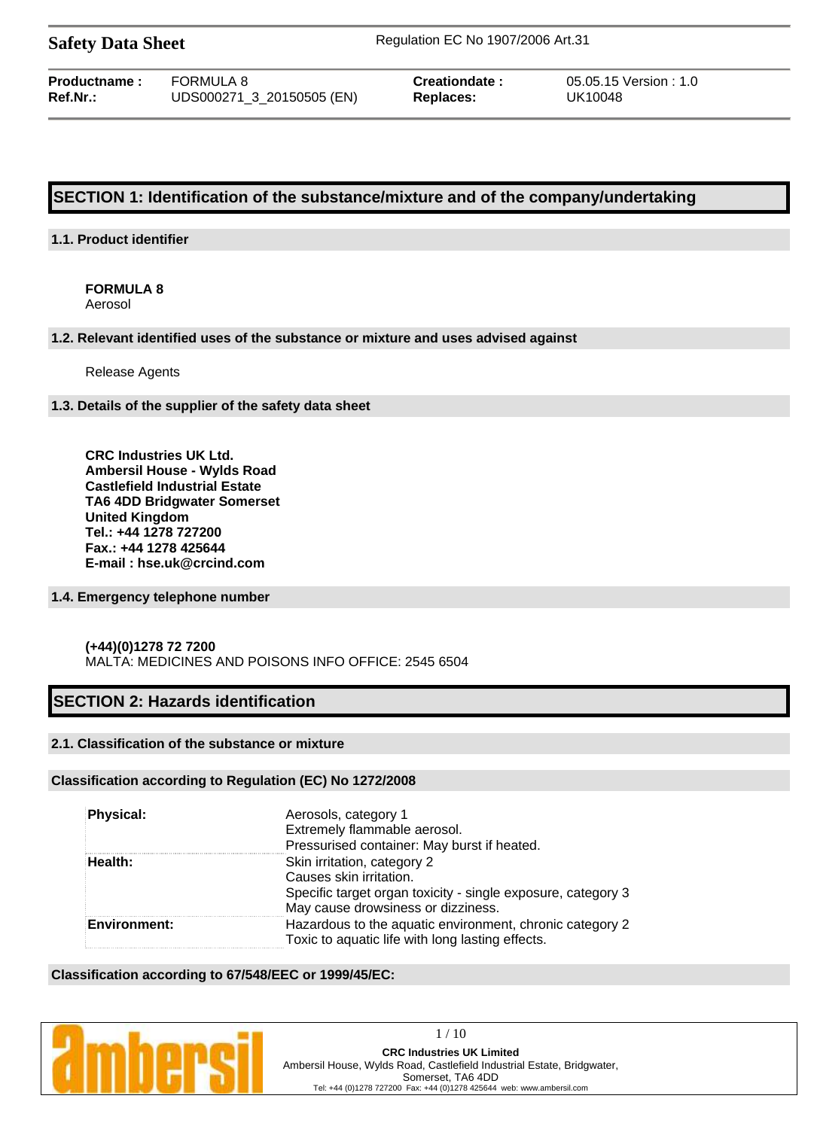| <b>Safety Data Sheet</b> |  |  |
|--------------------------|--|--|
|--------------------------|--|--|

**Safety Data Sheet** Regulation EC No 1907/2006 Art.31

| <b>Productname:</b> | FORMULA 8                 |
|---------------------|---------------------------|
| Ref.Nr.:            | UDS000271_3_20150505 (EN) |

**Replaces:** UK10048

**Preationdate :**  $05.05.15$  Version : 1.0

# **SECTION 1: Identification of the substance/mixture and of the company/undertaking**

## **1.1. Product identifier**

# **FORMULA 8**

Aerosol

### **1.2. Relevant identified uses of the substance or mixture and uses advised against**

Release Agents

### **1.3. Details of the supplier of the safety data sheet**

**CRC Industries UK Ltd. Ambersil House - Wylds Road Castlefield Industrial Estate TA6 4DD Bridgwater Somerset United Kingdom Tel.: +44 1278 727200 Fax.: +44 1278 425644 E-mail : hse.uk@crcind.com**

### **1.4. Emergency telephone number**

### **(+44)(0)1278 72 7200**  MALTA: MEDICINES AND POISONS INFO OFFICE: 2545 6504

# **SECTION 2: Hazards identification**

### **2.1. Classification of the substance or mixture**

### **Classification according to Regulation (EC) No 1272/2008**

| <b>Physical:</b>    | Aerosols, category 1                                         |
|---------------------|--------------------------------------------------------------|
|                     | Extremely flammable aerosol.                                 |
|                     | Pressurised container: May burst if heated.                  |
| Health:             | Skin irritation, category 2                                  |
|                     | Causes skin irritation.                                      |
|                     | Specific target organ toxicity - single exposure, category 3 |
|                     | May cause drowsiness or dizziness.                           |
| <b>Environment:</b> | Hazardous to the aquatic environment, chronic category 2     |
|                     | Toxic to aquatic life with long lasting effects.             |

### **Classification according to 67/548/EEC or 1999/45/EC:**

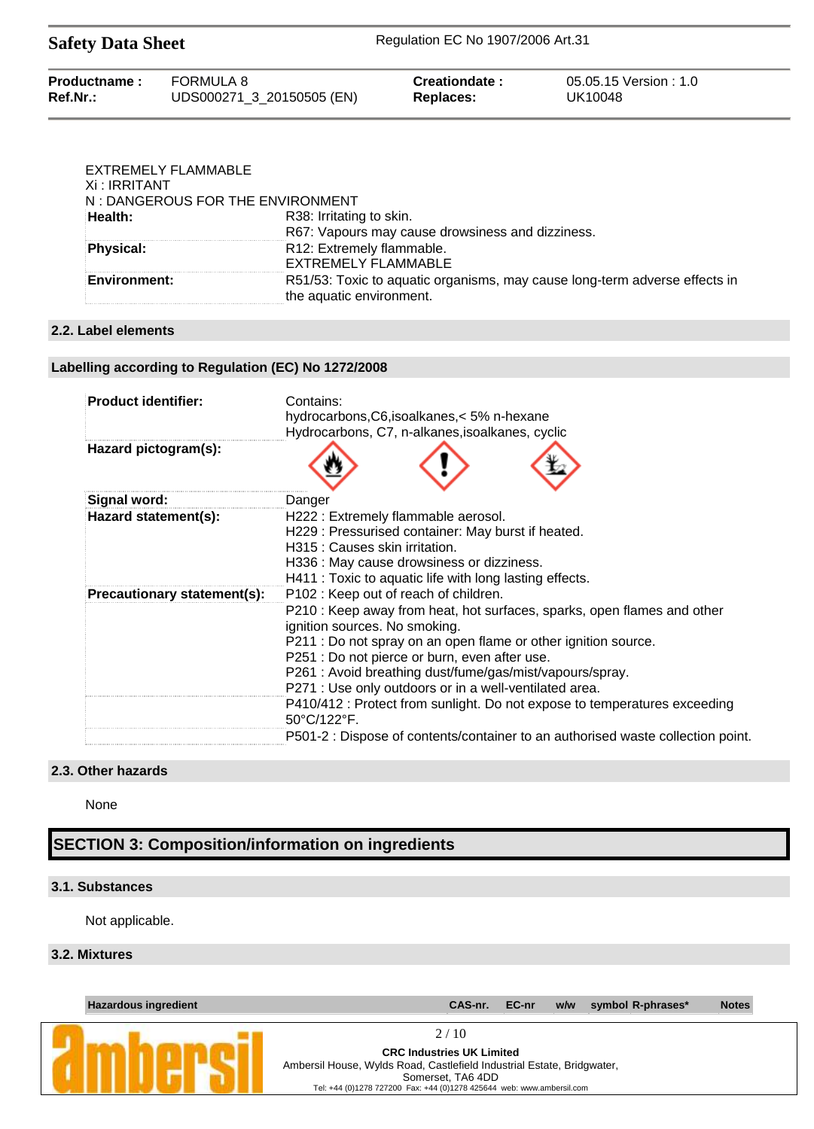| Productname: | FORMULA 8                 | Creationdate: | 05.05.15 Version : 1.0 |
|--------------|---------------------------|---------------|------------------------|
| $Ref.Nr.$ :  | UDS000271_3_20150505 (EN) | Replaces:     | UK10048                |

| EXTREMELY FLAMMABLE<br>Xi : IRRITANT<br>N: DANGEROUS FOR THE ENVIRONMENT |                                                                                                        |
|--------------------------------------------------------------------------|--------------------------------------------------------------------------------------------------------|
| Health:                                                                  | R38: Irritating to skin.                                                                               |
|                                                                          | R67: Vapours may cause drowsiness and dizziness.                                                       |
| Physical:                                                                | R12: Extremely flammable.                                                                              |
|                                                                          | EXTREMELY FLAMMABLE                                                                                    |
| <b>Environment:</b>                                                      | R51/53: Toxic to aquatic organisms, may cause long-term adverse effects in<br>the aquatic environment. |

## **2.2. Label elements**

## **Labelling according to Regulation (EC) No 1272/2008**

| <b>Product identifier:</b>  | Contains:<br>hydrocarbons, C6, isoalkanes, < 5% n-hexane<br>Hydrocarbons, C7, n-alkanes, isoalkanes, cyclic                                                                                                                                                                                                                                                                                                                                                                            |
|-----------------------------|----------------------------------------------------------------------------------------------------------------------------------------------------------------------------------------------------------------------------------------------------------------------------------------------------------------------------------------------------------------------------------------------------------------------------------------------------------------------------------------|
| Hazard pictogram(s):        |                                                                                                                                                                                                                                                                                                                                                                                                                                                                                        |
| Signal word:                | Danger                                                                                                                                                                                                                                                                                                                                                                                                                                                                                 |
| Hazard statement(s):        | H222: Extremely flammable aerosol.<br>H229 : Pressurised container: May burst if heated.<br>H315 : Causes skin irritation.<br>H336 : May cause drowsiness or dizziness.<br>H411 : Toxic to aquatic life with long lasting effects.                                                                                                                                                                                                                                                     |
| Precautionary statement(s): | P102 : Keep out of reach of children.<br>P210 : Keep away from heat, hot surfaces, sparks, open flames and other<br>ignition sources. No smoking.<br>P211 : Do not spray on an open flame or other ignition source.<br>P251 : Do not pierce or burn, even after use.<br>P261 : Avoid breathing dust/fume/gas/mist/vapours/spray.<br>P271 : Use only outdoors or in a well-ventilated area.<br>P410/412 : Protect from sunlight. Do not expose to temperatures exceeding<br>50°C/122°F. |
|                             | P501-2 : Dispose of contents/container to an authorised waste collection point.                                                                                                                                                                                                                                                                                                                                                                                                        |

# **2.3. Other hazards**

None

# **SECTION 3: Composition/information on ingredients**

# **3.1. Substances**

Not applicable.

## **3.2. Mixtures**

| <b>Hazardous ingredient</b> | CAS-nr.<br><b>Notes</b><br>symbol R-phrases*<br>EC-nr<br>w/w                                                       |
|-----------------------------|--------------------------------------------------------------------------------------------------------------------|
|                             | 2/10<br><b>CRC Industries UK Limited</b><br>Ambersil House, Wylds Road, Castlefield Industrial Estate, Bridgwater, |
|                             | Somerset, TA6 4DD<br>Tel: +44 (0)1278 727200 Fax: +44 (0)1278 425644 web: www.ambersil.com                         |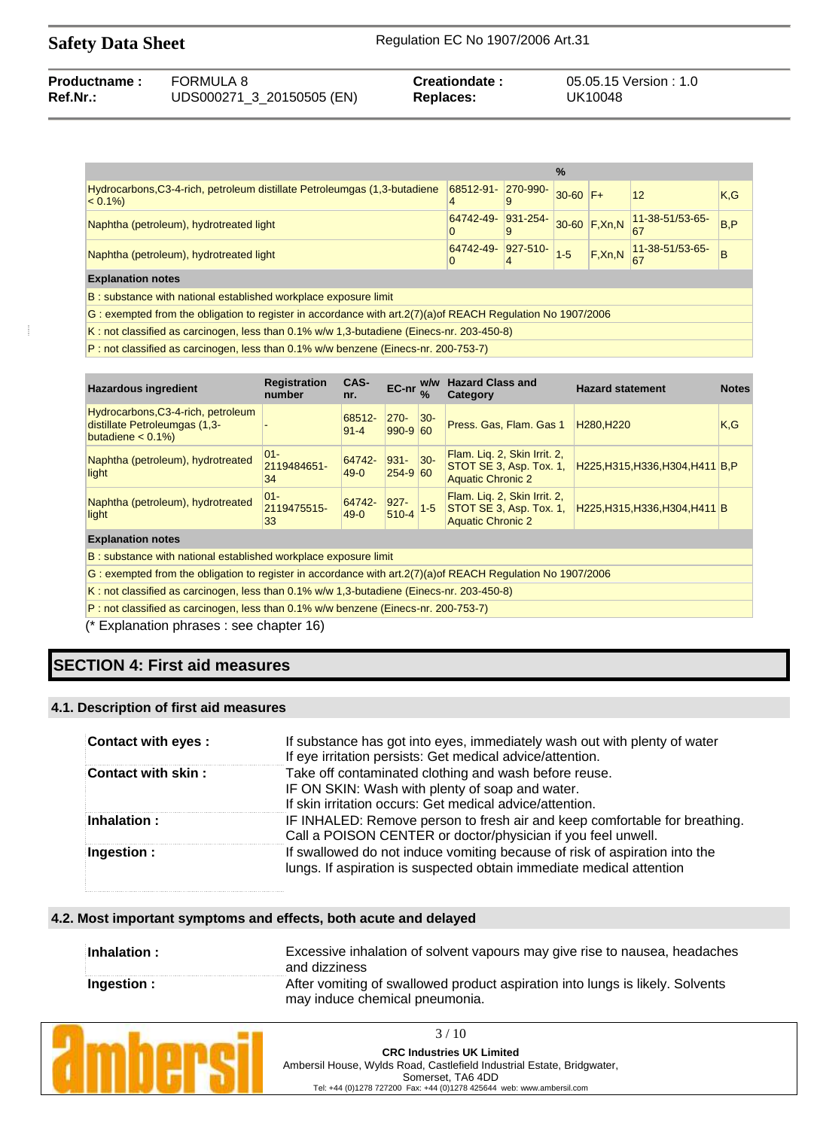| <b>Productname:</b> | FORMULA 8                 | Creationdate: | 05.05.15 Version: 1.0 |
|---------------------|---------------------------|---------------|-----------------------|
| Ref.Nr.:            | UDS000271_3_20150505 (EN) | Replaces:     | UK10048               |

|                                                                                        |                                                                                         | $\frac{0}{0}$ |                                   |                                                                               |      |
|----------------------------------------------------------------------------------------|-----------------------------------------------------------------------------------------|---------------|-----------------------------------|-------------------------------------------------------------------------------|------|
| Hydrocarbons, C3-4-rich, petroleum distillate Petroleumgas (1,3-butadiene<br>$< 0.1\%$ | 68512-91- 270-990-                                                                      | $30-60$ F+    |                                   | 12                                                                            | K,G  |
| Naphtha (petroleum), hydrotreated light                                                | $\begin{array}{ c c c c c }\n 64742-49 & 931-254 \\ \hline\n0 & 9\n\end{array}$         |               | $\sqrt{30-60}$ F,Xn,N $\sqrt{20}$ | 11-38-51/53-65-<br>67                                                         | B, P |
| Naphtha (petroleum), hydrotreated light                                                | $\begin{array}{c c c c} \hline 64742-49 & 927-510 & 1 & 5 \\ 0 & 4 & 1 & 5 \end{array}$ |               |                                   | $F, Xn, N$ $\begin{array}{ l }\n 11-38-51/53-65-\n \hline\n 67\n \end{array}$ | B    |
| <b>Explanation notes</b>                                                               |                                                                                         |               |                                   |                                                                               |      |
| B: substance with national established workplace exposure limit                        |                                                                                         |               |                                   |                                                                               |      |

G : exempted from the obligation to register in accordance with art.2(7)(a)of REACH Regulation No 1907/2006

K : not classified as carcinogen, less than 0.1% w/w 1,3-butadiene (Einecs-nr. 203-450-8)

P : not classified as carcinogen, less than 0.1% w/w benzene (Einecs-nr. 200-753-7)

| <b>Hazardous ingredient</b>                                                                | <b>Registration</b><br>number | CAS-<br>nr.        | EC-nr $\frac{W}{\%}$   | w/w    | <b>Hazard Class and</b><br>Category                                                 | <b>Hazard statement</b>             | <b>Notes</b> |
|--------------------------------------------------------------------------------------------|-------------------------------|--------------------|------------------------|--------|-------------------------------------------------------------------------------------|-------------------------------------|--------------|
| Hydrocarbons, C3-4-rich, petroleum<br>distillate Petroleumgas (1,3-<br>butadiene $< 0.1\%$ |                               | 68512-<br>$91 - 4$ | $270 -$<br>$990 - 960$ | $ 30-$ | Press. Gas, Flam. Gas 1                                                             | H <sub>280</sub> , H <sub>220</sub> | K,G          |
| Naphtha (petroleum), hydrotreated<br>light                                                 | IO1-<br>2119484651-<br>34     | 64742-<br>$49-0$   | $931 -$<br>$254 - 960$ | $ 30-$ | Flam. Lig. 2, Skin Irrit. 2,<br>STOT SE 3, Asp. Tox. 1,<br><b>Aquatic Chronic 2</b> | H225, H315, H336, H304, H411 B, P   |              |
| Naphtha (petroleum), hydrotreated<br>light                                                 | $ 01 -$<br>2119475515-<br>33  | 64742-<br>$49-0$   | $927 -$<br>510-4       | $1-5$  | Flam. Lig. 2, Skin Irrit. 2,<br>STOT SE 3, Asp. Tox. 1,<br><b>Aquatic Chronic 2</b> | H225, H315, H336, H304, H411 B      |              |
| <b>Explanation notes</b>                                                                   |                               |                    |                        |        |                                                                                     |                                     |              |

B : substance with national established workplace exposure limit

G : exempted from the obligation to register in accordance with art.2(7)(a)of REACH Regulation No 1907/2006

K : not classified as carcinogen, less than 0.1% w/w 1,3-butadiene (Einecs-nr. 203-450-8)

P : not classified as carcinogen, less than 0.1% w/w benzene (Einecs-nr. 200-753-7)

(\* Explanation phrases : see chapter 16)

# **SECTION 4: First aid measures**

### **4.1. Description of first aid measures**

| Contact with eyes: | If substance has got into eyes, immediately wash out with plenty of water<br>If eye irritation persists: Get medical advice/attention.             |
|--------------------|----------------------------------------------------------------------------------------------------------------------------------------------------|
| Contact with skin: | Take off contaminated clothing and wash before reuse.                                                                                              |
|                    | IF ON SKIN: Wash with plenty of soap and water.                                                                                                    |
|                    | If skin irritation occurs: Get medical advice/attention.                                                                                           |
| Inhalation:        | IF INHALED: Remove person to fresh air and keep comfortable for breathing.<br>Call a POISON CENTER or doctor/physician if you feel unwell.         |
| Ingestion :        | If swallowed do not induce vomiting because of risk of aspiration into the<br>lungs. If aspiration is suspected obtain immediate medical attention |

#### **4.2. Most important symptoms and effects, both acute and delayed**

| Inhalation : | Excessive inhalation of solvent vapours may give rise to nausea, headaches<br>and dizziness                     |
|--------------|-----------------------------------------------------------------------------------------------------------------|
| Ingestion :  | After vomiting of swallowed product aspiration into lungs is likely. Solvents<br>may induce chemical pneumonia. |



3 / 10 **CRC Industries UK Limited** Ambersil House, Wylds Road, Castlefield Industrial Estate, Bridgwater,

Somerset, TA6 4DD Tel: +44 (0)1278 727200 Fax: +44 (0)1278 425644 web: www.ambersil.com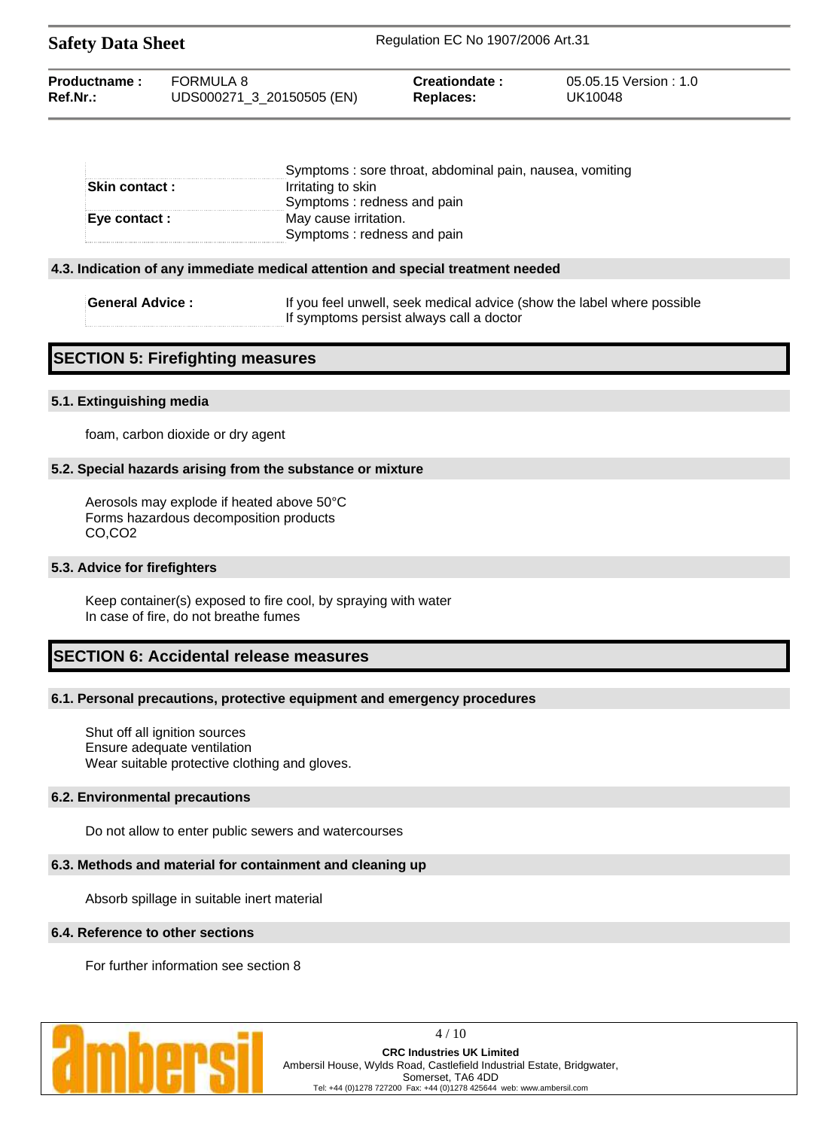| Productname: | FORMULA 8                 | Creationdate: | 05.05.15 Version:1.0 |
|--------------|---------------------------|---------------|----------------------|
| $Ref.Nr.$ :  | UDS000271_3_20150505 (EN) | Replaces:     | UK10048              |

|                       | Symptoms: sore throat, abdominal pain, nausea, vomiting |
|-----------------------|---------------------------------------------------------|
| <b>Skin contact :</b> | Irritating to skin                                      |
|                       | Symptoms: redness and pain                              |
| Eye contact :         | May cause irritation.                                   |
|                       | Symptoms: redness and pain                              |

#### **4.3. Indication of any immediate medical attention and special treatment needed**

**Safety Data Sheet** Regulation EC No 1907/2006 Art.31

| <b>General Advice :</b> | If you feel unwell, seek medical advice (show the label where possible |
|-------------------------|------------------------------------------------------------------------|
|                         | If symptoms persist always call a doctor                               |

## **SECTION 5: Firefighting measures**

#### **5.1. Extinguishing media**

foam, carbon dioxide or dry agent

#### **5.2. Special hazards arising from the substance or mixture**

Aerosols may explode if heated above 50°C Forms hazardous decomposition products CO,CO2

#### **5.3. Advice for firefighters**

Keep container(s) exposed to fire cool, by spraying with water In case of fire, do not breathe fumes

## **SECTION 6: Accidental release measures**

#### **6.1. Personal precautions, protective equipment and emergency procedures**

Shut off all ignition sources Ensure adequate ventilation Wear suitable protective clothing and gloves.

#### **6.2. Environmental precautions**

Do not allow to enter public sewers and watercourses

#### **6.3. Methods and material for containment and cleaning up**

Absorb spillage in suitable inert material

#### **6.4. Reference to other sections**

For further information see section 8



4 / 10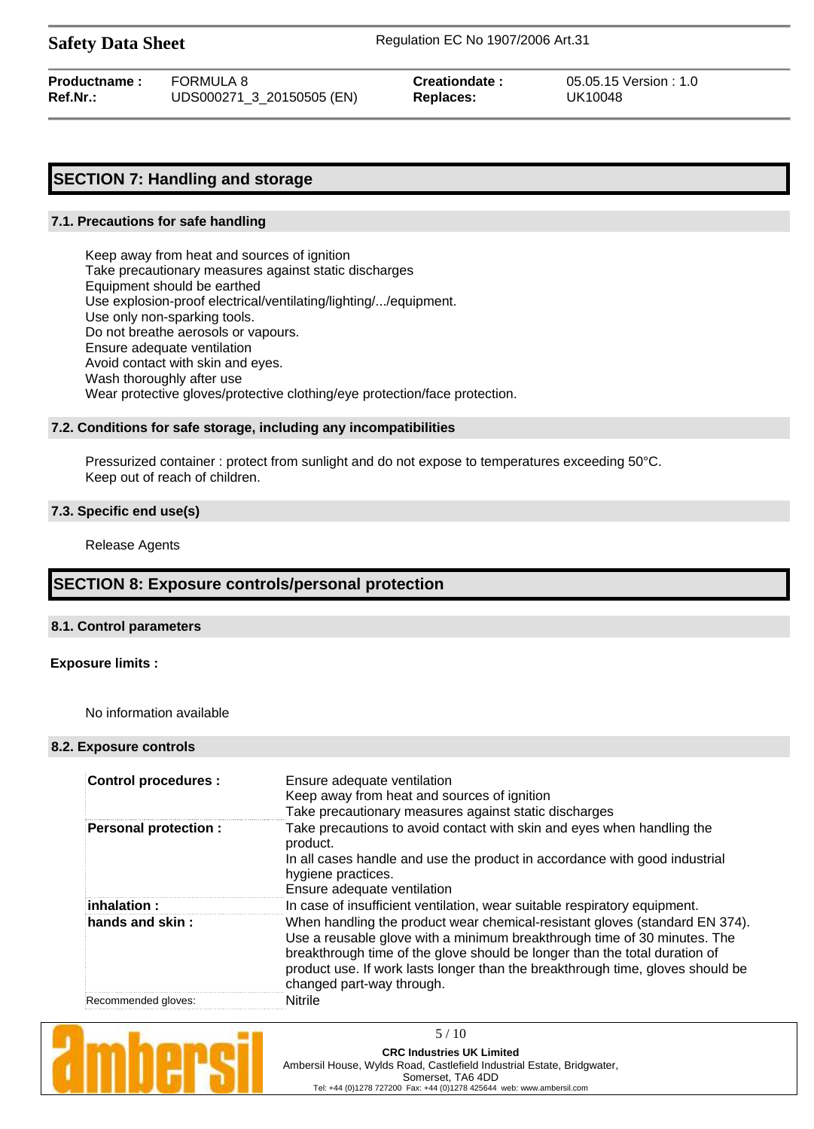**Safety Data Sheet** Regulation EC No 1907/2006 Art.31

| Productname: | FORMULA 8                 | Creationdate : | 05.05.15 Version : 1.0 |
|--------------|---------------------------|----------------|------------------------|
| Ref.Nr.:     | UDS000271_3_20150505 (EN) | Replaces:      | UK10048                |

# **SECTION 7: Handling and storage**

#### **7.1. Precautions for safe handling**

Keep away from heat and sources of ignition Take precautionary measures against static discharges Equipment should be earthed Use explosion-proof electrical/ventilating/lighting/.../equipment. Use only non-sparking tools. Do not breathe aerosols or vapours. Ensure adequate ventilation Avoid contact with skin and eyes. Wash thoroughly after use Wear protective gloves/protective clothing/eye protection/face protection.

### **7.2. Conditions for safe storage, including any incompatibilities**

Pressurized container : protect from sunlight and do not expose to temperatures exceeding 50°C. Keep out of reach of children.

### **7.3. Specific end use(s)**

Release Agents

# **SECTION 8: Exposure controls/personal protection**

#### **8.1. Control parameters**

#### **Exposure limits :**

No information available

#### **8.2. Exposure controls**

| <b>Control procedures:</b> | Ensure adequate ventilation<br>Keep away from heat and sources of ignition<br>Take precautionary measures against static discharges                                                                                                                                                                                                                  |
|----------------------------|------------------------------------------------------------------------------------------------------------------------------------------------------------------------------------------------------------------------------------------------------------------------------------------------------------------------------------------------------|
| Personal protection :      | Take precautions to avoid contact with skin and eyes when handling the<br>product.<br>In all cases handle and use the product in accordance with good industrial<br>hygiene practices.<br>Ensure adequate ventilation                                                                                                                                |
| $\mathsf{inhalation}$ :    | In case of insufficient ventilation, wear suitable respiratory equipment.                                                                                                                                                                                                                                                                            |
| hands and skin :           | When handling the product wear chemical-resistant gloves (standard EN 374).<br>Use a reusable glove with a minimum breakthrough time of 30 minutes. The<br>breakthrough time of the glove should be longer than the total duration of<br>product use. If work lasts longer than the breakthrough time, gloves should be<br>changed part-way through. |
| Recommended gloves:        | <b>Nitrile</b>                                                                                                                                                                                                                                                                                                                                       |

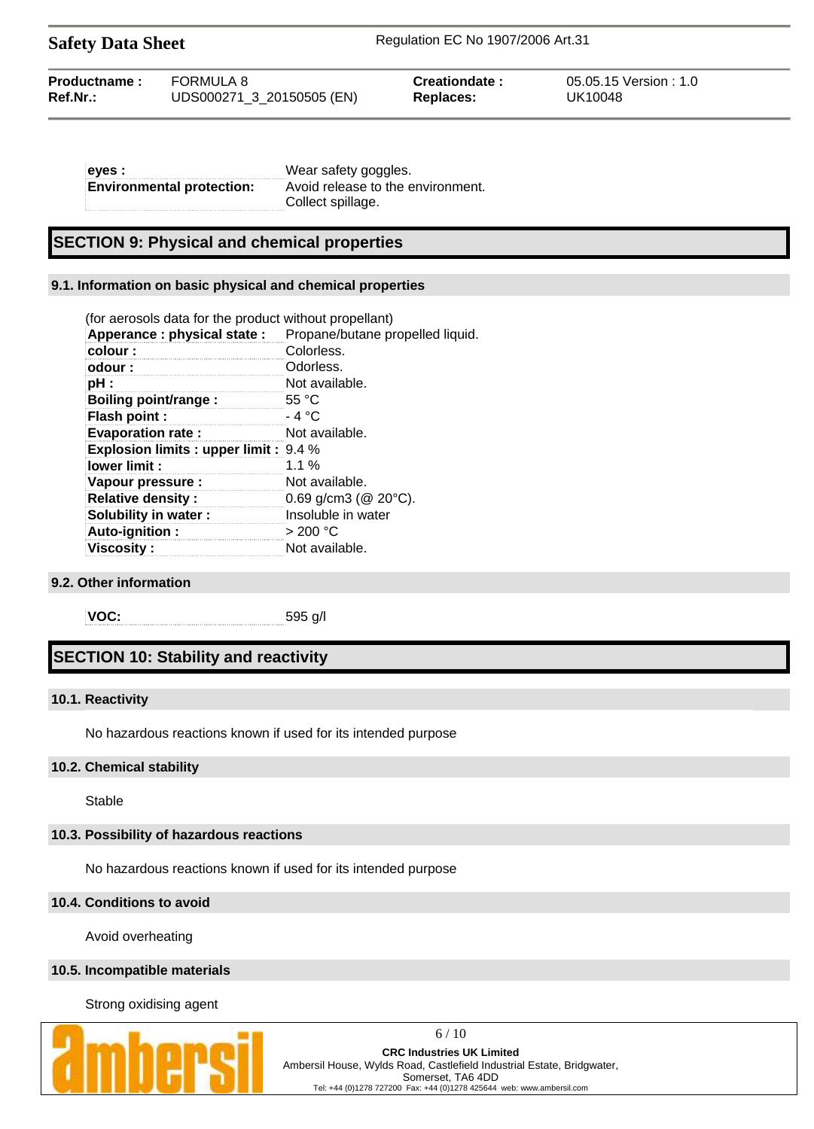| <b>Safety Data Sheet</b> |  |  |
|--------------------------|--|--|
|--------------------------|--|--|

**Safety Data Sheet** Regulation EC No 1907/2006 Art.31

| FORMULA 8<br>Productname:<br><b>Creationdate</b><br>$Ref.Nr.$ :<br>UDS000271 3 20150505 (EN)<br>Replaces: | 05.05.15 Version : 1.0<br>UK10048 |
|-----------------------------------------------------------------------------------------------------------|-----------------------------------|
|-----------------------------------------------------------------------------------------------------------|-----------------------------------|

| eyes :                           | Wear safety goggles.              |
|----------------------------------|-----------------------------------|
| <b>Environmental protection:</b> | Avoid release to the environment. |
|                                  | Collect spillage.                 |

## **SECTION 9: Physical and chemical properties**

#### **9.1. Information on basic physical and chemical properties**

| (for aerosols data for the product without propellant) |                                  |
|--------------------------------------------------------|----------------------------------|
| Apperance : physical state :                           | Propane/butane propelled liquid. |
| colour:                                                | Colorless.                       |
| odour:                                                 | Odorless.                        |
| pH :                                                   | Not available.                   |
| Boiling point/range :                                  | 55 $\degree$ C                   |
| Flash point :                                          | - 4 °C                           |
| <b>Evaporation rate:</b>                               | Not available.                   |
| <b>Explosion limits : upper limit : 9.4 %</b>          |                                  |
| lower limit:                                           | $1.1\%$                          |
| Vapour pressure :                                      | Not available.                   |
| <b>Relative density:</b>                               | $0.69$ g/cm3 ( $@$ 20 $°C$ ).    |
| Solubility in water:                                   | Insoluble in water               |
| Auto-ignition:                                         | $>$ 200 °C                       |
| <b>Viscosity :</b>                                     | Not available.                   |

### **9.2. Other information**

**VOC:** 595 g/l

# **SECTION 10: Stability and reactivity**

#### **10.1. Reactivity**

No hazardous reactions known if used for its intended purpose

#### **10.2. Chemical stability**

Stable

### **10.3. Possibility of hazardous reactions**

No hazardous reactions known if used for its intended purpose

#### **10.4. Conditions to avoid**

Avoid overheating

### **10.5. Incompatible materials**

Strong oxidising agent



6 / 10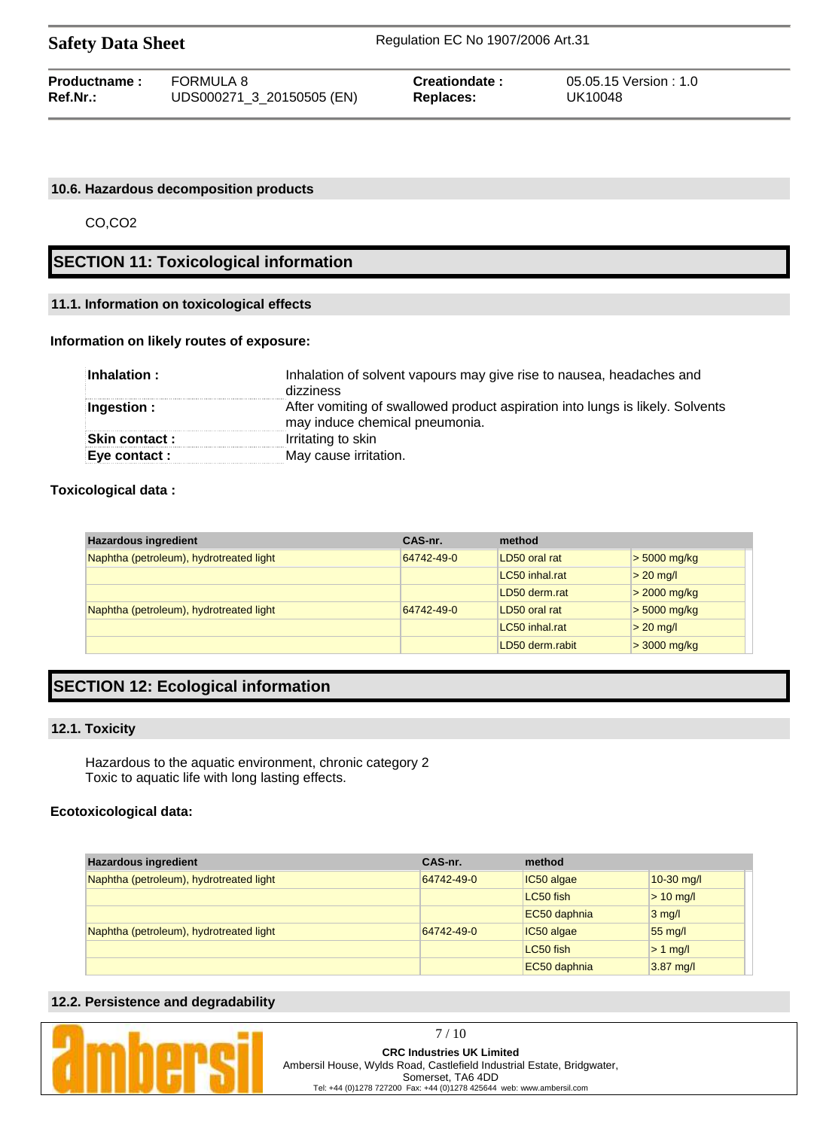| <b>Safety Data Sheet</b> |                           | Regulation EC No 1907/2006 Art.31 |                        |  |
|--------------------------|---------------------------|-----------------------------------|------------------------|--|
| Productname:             | FORMULA 8                 | Creationdate:                     | 05.05.15 Version : 1.0 |  |
| $Ref.Nr.$ :              | UDS000271_3_20150505 (EN) | <b>Replaces:</b>                  | UK10048                |  |

#### **10.6. Hazardous decomposition products**

CO,CO2

# **SECTION 11: Toxicological information**

#### **11.1. Information on toxicological effects**

#### **Information on likely routes of exposure:**

| Inhalation:          | Inhalation of solvent vapours may give rise to nausea, headaches and<br>dizziness                               |
|----------------------|-----------------------------------------------------------------------------------------------------------------|
| Ingestion:           | After vomiting of swallowed product aspiration into lungs is likely. Solvents<br>may induce chemical pneumonia. |
| <b>Skin contact:</b> | Irritating to skin                                                                                              |
| Eye contact :        | May cause irritation.                                                                                           |

#### **Toxicological data :**

| <b>Hazardous ingredient</b>             | CAS-nr.    | method          |                |
|-----------------------------------------|------------|-----------------|----------------|
| Naphtha (petroleum), hydrotreated light | 64742-49-0 | LD50 oral rat   | $>$ 5000 mg/kg |
|                                         |            | LC50 inhal.rat  | $> 20$ mg/l    |
|                                         |            | LD50 derm.rat   | $>$ 2000 mg/kg |
| Naphtha (petroleum), hydrotreated light | 64742-49-0 | LD50 oral rat   | $>$ 5000 mg/kg |
|                                         |            | LC50 inhal.rat  | $> 20$ mg/l    |
|                                         |            | LD50 derm.rabit | $>$ 3000 mg/kg |

# **SECTION 12: Ecological information**

#### **12.1. Toxicity**

Hazardous to the aquatic environment, chronic category 2 Toxic to aquatic life with long lasting effects.

#### **Ecotoxicological data:**

| <b>Hazardous ingredient</b>             | CAS-nr.    | method       |              |
|-----------------------------------------|------------|--------------|--------------|
| Naphtha (petroleum), hydrotreated light | 64742-49-0 | IC50 algae   | $10-30$ mg/l |
|                                         |            | LC50 fish    | $> 10$ mg/l  |
|                                         |            | EC50 daphnia | $3$ mg/l     |
| Naphtha (petroleum), hydrotreated light | 64742-49-0 | IC50 algae   | 55 mg/l      |
|                                         |            | LC50 fish    | $> 1$ mg/l   |
|                                         |            | EC50 daphnia | $3.87$ mg/l  |

#### **12.2. Persistence and degradability**

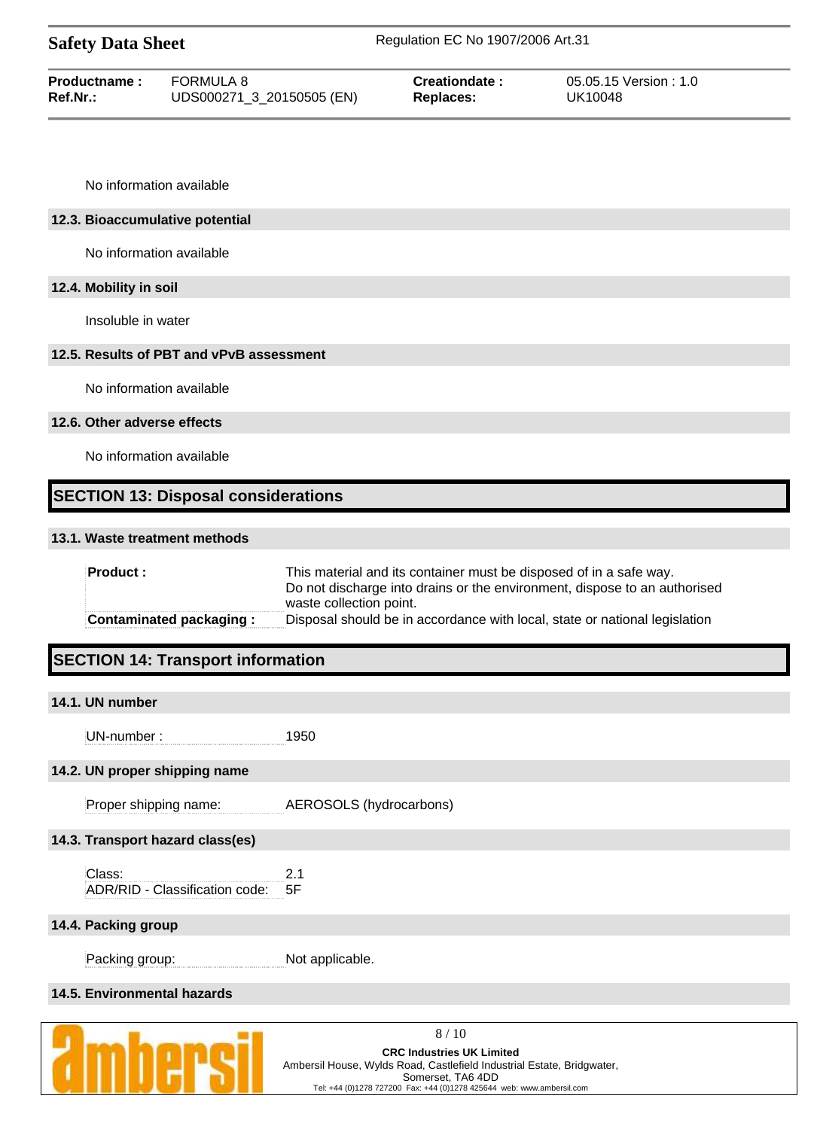| <b>Safety Data Sheet</b> |                           | Regulation EC No 1907/2006 Art.31 |                       |
|--------------------------|---------------------------|-----------------------------------|-----------------------|
| Productname:             | FORMULA 8                 | Creationdate:                     | 05.05.15 Version: 1.0 |
| Ref.Nr.:                 | UDS000271_3_20150505 (EN) | Replaces:                         | UK10048               |

No information available

#### **12.3. Bioaccumulative potential**

No information available

## **12.4. Mobility in soil**

Insoluble in water

## **12.5. Results of PBT and vPvB assessment**

No information available

#### **12.6. Other adverse effects**

No information available

# **SECTION 13: Disposal considerations**

#### **13.1. Waste treatment methods**

| <b>Product:</b>                | This material and its container must be disposed of in a safe way.<br>Do not discharge into drains or the environment, dispose to an authorised<br>waste collection point. |
|--------------------------------|----------------------------------------------------------------------------------------------------------------------------------------------------------------------------|
| <b>Contaminated packaging:</b> | Disposal should be in accordance with local, state or national legislation                                                                                                 |

# **SECTION 14: Transport information**

## **14.1. UN number**

UN-number : 1950

#### **14.2. UN proper shipping name**

| AEROSOLS (hydrocarbons) |
|-------------------------|
|                         |

# **14.3. Transport hazard class(es)**

| Class:                            | -21 |
|-----------------------------------|-----|
| ADR/RID - Classification code: 5F |     |

## **14.4. Packing group**

Packing group: Not applicable.

# **14.5. Environmental hazards**

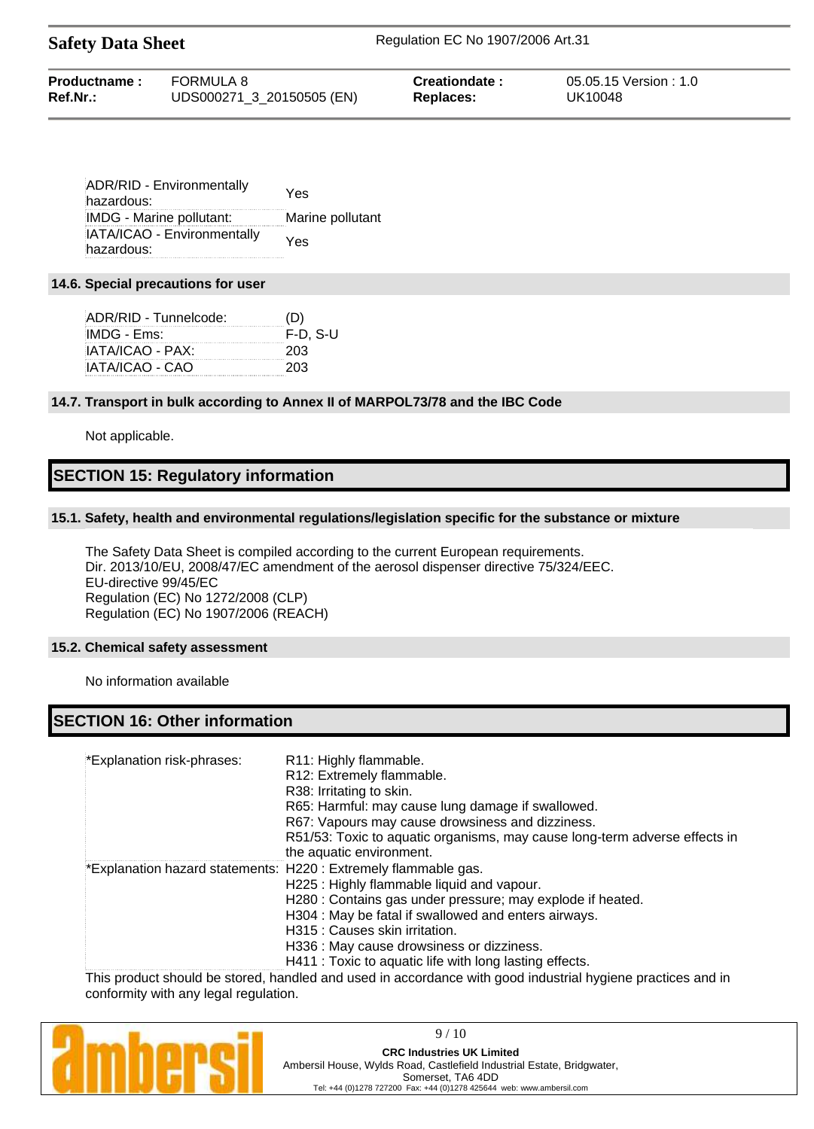| Productname:<br>Ref.Nr.: | FORMULA 8                 | Creationdate: | 05.05.15 Version: 1.0<br>UK10048 |
|--------------------------|---------------------------|---------------|----------------------------------|
|                          | UDS000271_3_20150505 (EN) | Replaces:     |                                  |

| ADR/RID - Environmentally<br>hazardous:   | Yes              |
|-------------------------------------------|------------------|
| IMDG - Marine pollutant:                  | Marine pollutant |
| IATA/ICAO - Environmentally<br>hazardous: | Yes              |

#### **14.6. Special precautions for user**

| ADR/RID - Tunnelcode: | (D)         |
|-----------------------|-------------|
| IMDG - Ems:           | $F-D$ , S-U |
| IATA/ICAO - PAX:      | 203         |
| IATA/ICAO - CAO       | 203         |

#### **14.7. Transport in bulk according to Annex II of MARPOL73/78 and the IBC Code**

Not applicable.

# **SECTION 15: Regulatory information**

#### **15.1. Safety, health and environmental regulations/legislation specific for the substance or mixture**

The Safety Data Sheet is compiled according to the current European requirements. Dir. 2013/10/EU, 2008/47/EC amendment of the aerosol dispenser directive 75/324/EEC. EU-directive 99/45/EC Regulation (EC) No 1272/2008 (CLP) Regulation (EC) No 1907/2006 (REACH)

#### **15.2. Chemical safety assessment**

No information available

# **SECTION 16: Other information**

| *Explanation risk-phrases: | R11: Highly flammable.<br>R12: Extremely flammable.<br>R38: Irritating to skin.<br>R65: Harmful: may cause lung damage if swallowed.<br>R67: Vapours may cause drowsiness and dizziness.<br>R51/53: Toxic to aquatic organisms, may cause long-term adverse effects in<br>the aquatic environment.                                                                           |
|----------------------------|------------------------------------------------------------------------------------------------------------------------------------------------------------------------------------------------------------------------------------------------------------------------------------------------------------------------------------------------------------------------------|
|                            | *Explanation hazard statements: H220 : Extremely flammable gas.<br>H225: Highly flammable liquid and vapour.<br>H280 : Contains gas under pressure; may explode if heated.<br>H304 : May be fatal if swallowed and enters airways.<br>H315 : Causes skin irritation.<br>H336 : May cause drowsiness or dizziness.<br>H411 : Toxic to aquatic life with long lasting effects. |

This product should be stored, handled and used in accordance with good industrial hygiene practices and in conformity with any legal regulation.